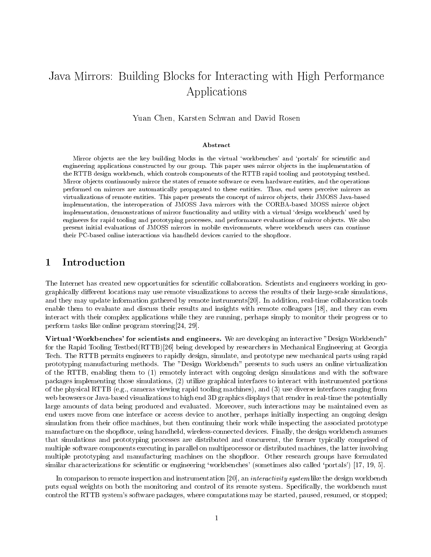# Java Mirrors: Building Blocks for Interacting with High Performance Applications

Yuan Chen, Karsten Schwan and David Rosen

#### Abstract

Mirror ob jects are the key building blocks in the virtual `workbenches' and `portals' for scientic and engineering applications constructed by our group. This paper uses mirror ob jects in the implementation of the RTTB design workbench, which controls components of the RTTB rapid tooling and prototyping testbed. Mirror ob jects continuously mirror the states of remote software or even hardware entities, and the operations performed on mirrors are automatically propagated to these entities. Thus, end users perceive mirrors as virtualizations of remote entities. This paper presents the concept of mirror ob jects, their JMOSS Java-based implementation, the interoperation of JMOSS Java mirrors with the CORBA-based MOSS mirror object implementation, demonstrations of mirror functionality and utility with a virtual `design workbench' used by engineers for rapid tooling and prototyping processes, and performance evaluations of mirror objects. We also present initial evaluations of JMOSS mirrors in mobile environments, where workbench users can continue their PC-based online interactions via handheld devices carried to the shopfloor.

### 1 Introduction

The Internet has created new opportunities for scientic collaboration. Scientists and engineers working in geographically different locations may use remote visualizations to access the results of their large-scale simulations, and they may update information gathered by remote instruments[20]. In addition, real-time collaboration tools enable them to evaluate and discuss their results and insights with remote colleagues [18], and they can even interact with their complex applications while they are running, perhaps simply to monitor their progress or to perform tasks like online program steering[24, 29].

Virtual `Workbenches' for scientists and engineers. We are developing an interactive "Design Workbench" for the Rapid Tooling Testbed(RTTB)[26] being developed by researchers in Mechanical Engineering at Georgia Tech. The RTTB permits engineers to rapidly design, simulate, and prototype new mechanical parts using rapid prototyping manufacturing methods. The "Design Workbench" presents to such users an online virtualization of the RTTB, enabling them to (1) remotely interact with ongoing design simulations and with the software packages implementing those simulations, (2) utilize graphical interfaces to interact with instrumented portions of the physical RTTB (e.g., cameras viewing rapid tooling machines), and (3) use diverse interfaces ranging from web browsers or Java-based visualizations to high end 3D graphics displays that render in real-time the potentially large amounts of data being produced and evaluated. Moreover, such interactions may be maintained even as end users move from one interface or access device to another, perhaps initially inspecting an ongoing design simulation from their office machines, but then continuing their work while inspecting the associated prototype manufacture on the shopfloor, using handheld, wireless-connected devices. Finally, the design workbench assumes that simulations and prototyping processes are distributed and concurrent, the former typically comprised of multiple software components executing in parallel on multiprocessor or distributed machines, the latter involving multiple prototyping and manufacturing machines on the shopfloor. Other research groups have formulated similar characterizations for scientific or engineering 'workbenches' (sometimes also called 'portals') [17, 19, 5].

In comparison to remote inspection and instrumentation [20], an *interactivity system* like the design workbench puts equal weights on both the monitoring and control of its remote system. Specically, the workbench must control the RTTB system's software packages, where computations may be started, paused, resumed, or stopped;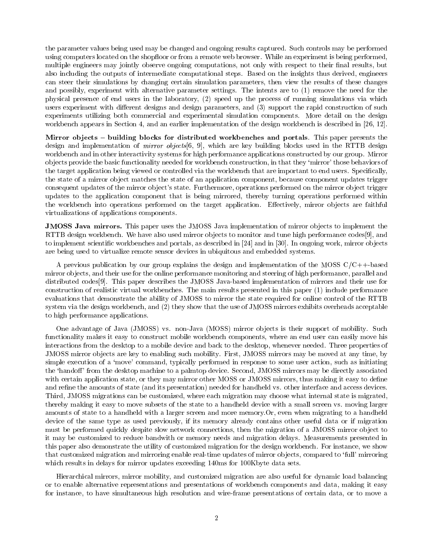the parameter values being used may be changed and ongoing results captured. Such controls may be performed using computers located on the shopfloor or from a remote web browser. While an experiment is being performed, multiple engineers may jointly observe ongoing computations, not only with respect to their final results, but also including the outputs of intermediate computational steps. Based on the insights thus derived, engineers can steer their simulations by changing certain simulation parameters, then view the results of these changes and possibly, experiment with alternative parameter settings. The intents are to (1) remove the need for the physical presence of end users in the laboratory, (2) speed up the process of running simulations via which users experiment with different designs and design parameters, and (3) support the rapid construction of such experiments utilizing both commercial and experimental simulation components. More detail on the design workbench appears in Section 4, and an earlier implementation of the design workbench is described in [26, 12].

Mirror ob jects { building blocks for distributed workbenches and portals. This paper presents the design and implementation of *mirror objects*[6, 9], which are key building blocks used in the RTTB design workbench and in other interactivity systems for high performance applications constructed by our group. Mirror ob jects provide the basic functionality needed for workbench construction, in that they `mirror' those behaviors of the target application being viewed or controlled via the workbench that are important to end users. Specically, the state of a mirror ob ject matches the state of an application component, because component updates trigger consequent updates of the mirror object's state. Furthermore, operations performed on the mirror object trigger updates to the application component that is being mirrored, thereby turning operations performed within the workbench into operations performed on the target application. Effectively, mirror objects are faithful virtualizations of applications components.

JMOSS Java mirrors. This paper uses the JMOSS Java implementation of mirror ob jects to implement the RTTB design workbench. We have also used mirror objects to monitor and tune high performance codes[9], and to implement scientific workbenches and portals, as described in [24] and in [30]. In ongoing work, mirror objects are being used to virtualize remote sensor devices in ubiquitous and embedded systems.

A previous publication by our group explains the design and implementation of the MOSS C/C++-based mirror ob jects, and their use for the online performance monitoring and steering of high performance, parallel and distributed codes[9]. This paper describes the JMOSS Java-based implementation of mirrors and their use for construction of realistic virtual workbenches. The main results presented in this paper (1) include performance evaluations that demonstrate the ability of JMOSS to mirror the state required for online control of the RTTB system via the design workbench, and (2) they show that the use of JMOSS mirrors exhibits overheads acceptable to high performance applications.

One advantage of Java (JMOSS) vs. non-Java (MOSS) mirror ob jects is their support of mobility. Such functionality makes it easy to construct mobile workbench components, where an end user can easily move his interactions from the desktop to a mobile device and back to the desktop, whenever needed. Three properties of JMOSS mirror ob jects are key to enabling such mobility. First, JMOSS mirrors may be moved at any time, by simple execution of a `move' command, typically performed in response to some user action, such as initiating the 'handoff' from the desktop machine to a palmtop device. Second, JMOSS mirrors may be directly associated with certain application state, or they may mirror other MOSS or JMOSS mirrors, thus making it easy to define and refine the amounts of state (and its presentation) needed for handheld vs. other interface and access devices. Third, JMOSS migrations can be customized, where each migration may choose what internal state is migrated, thereby making it easy to move subsets of the state to a handheld device with a small screen vs. moving larger amounts of state to a handheld with a larger screen and more memory.Or, even when migrating to a handheld device of the same type as used previously, if its memory already contains other useful data or if migration must be performed quickly despite slow network connections, then the migration of a JMOSS mirror object to it may be customized to reduce bandwith or memory needs and migration delays. Measurements presented in this paper also demonstrate the utility of customized migration for the design workbench. For instance, we show that customized migration and mirroring enable real-time updates of mirror ob jects, compared to `full' mirroring which results in delays for mirror updates exceeding 140ms for 100Kbyte data sets.

Hierarchical mirrors, mirror mobility, and customized migration are also useful for dynamic load balancing or to enable alternative representations and presentations of workbench components and data, making it easy for instance, to have simultaneous high resolution and wire-frame presentations of certain data, or to move a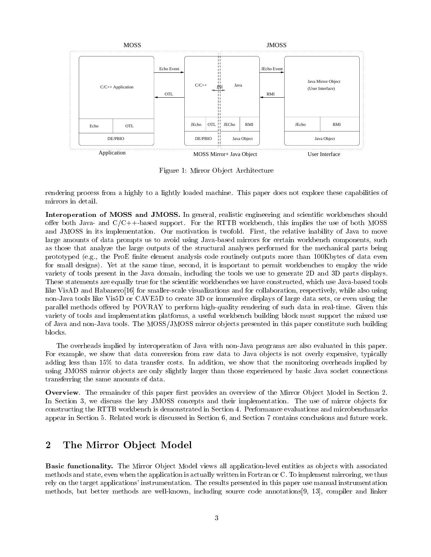

Figure 1: Mirror Object Architecture

rendering process from a highly to a lightly loaded machine. This paper does not explore these capabilities of mirrors in detail.

Interoperation of MOSS and JMOSS. In general, realistic engineering and scientic workbenches should offer both Java- and  $C/C++$ -based support. For the RTTB workbench, this implies the use of both MOSS and JMOSS in its implementation. Our motivation is twofold. First, the relative inability of Java to move large amounts of data prompts us to avoid using Java-based mirrors for certain workbench components, such as those that analyze the large outputs of the structural analyses performed for the mechanical parts being prototyped (e.g., the ProE finite element analysis code routinely outputs more than 100Kbytes of data even for small designs). Yet at the same time, second, it is important to permit workbenches to employ the wide variety of tools present in the Java domain, including the tools we use to generate 2D and 3D parts displays. These statements are equally true for the scientic workbenches we have constructed, which use Java-based tools like VisAD and Habanero<sup>[16]</sup> for smaller-scale visualizations and for collaboration, respectively, while also using non-Java tools like Vis5D or CAVE5D to create 3D or immensive displays of large data sets, or even using the parallel methods offered by POVRAY to perform high-quality rendering of such data in real-time. Given this variety of tools and implementation platforms, a useful workbench building block must support the mixed use of Java and non-Java tools. The MOSS/JMOSS mirror ob jects presented in this paper constitute such building blocks.

The overheads implied by interoperation of Java with non-Java programs are also evaluated in this paper. For example, we show that data conversion from raw data to Java objects is not overly expensive, typically adding less than 15% to data transfer costs. In addition, we show that the monitoring overheads implied by using JMOSS mirror objects are only slightly larger than those experienced by basic Java socket connections transferring the same amounts of data.

**Overview**. The remainder of this paper first provides an overview of the Mirror Object Model in Section 2. In Section 3, we discuss the key JMOSS concepts and their implementation. The use of mirror objects for constructing the RTTB workbench is demonstrated in Section 4. Performance evaluations and microbenchmarks appear in Section 5. Related work is discussed in Section 6, and Section 7 contains conclusions and future work.

## 2 The Mirror Object Model

Basic functionality. The Mirror Ob ject Model views all application-level entities as ob jects with associated methods and state, even when the application is actually written in Fortran or C. To implement mirroring, we thus rely on the target applications' instrumentation. The results presented in this paper use manual instrumentation methods, but better methods are well-known, including source code annotations[9, 13], compiler and linker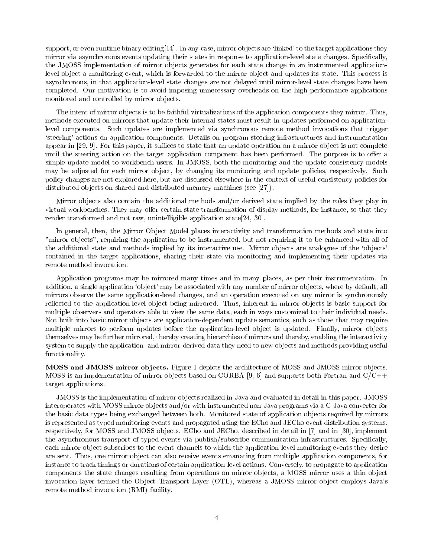support, or even runtime binary editing [14]. In any case, mirror objects are 'linked' to the target applications they mirror via asynchronous events updating their states in response to application-level state changes. Specically, the JMOSS implementation of mirror objects generates for each state change in an instrumented applicationlevel object a monitoring event, which is forwarded to the mirror object and updates its state. This process is asynchronous, in that application-level state changes are not delayed until mirror-level state changes have been completed. Our motivation is to avoid imposing unnecessary overheads on the high performance applications monitored and controlled by mirror objects.

The intent of mirror objects is to be faithful virtualizations of the application components they mirror. Thus, methods executed on mirrors that update their internal states must result in updates performed on applicationlevel components. Such updates are implemented via synchronous remote method invocations that trigger `steering' actions on application components. Details on program steering infrastructures and instrumentation appear in  $[29, 9]$ . For this paper, it suffices to state that an update operation on a mirror object is not complete until the steering action on the target application component has been performed. The purpose is to offer a simple update model to workbench users. In JMOSS, both the monitoring and the update consistency models may be adjusted for each mirror object, by changing its monitoring and update policies, respectively. Such policy changes are not explored here, but are discussed elsewhere in the context of useful consistency policies for distributed objects on shared and distributed memory machines (see [27]).

Mirror objects also contain the additional methods and/or derived state implied by the roles they play in virtual workbenches. They may offer certain state transformation of display methods, for instance, so that they render transformed and not raw, unintelligible application state[24, 30].

In general, then, the Mirror Object Model places interactivity and transformation methods and state into "mirror ob jects", requiring the application to be instrumented, but not requiring it to be enhanced with all of the additional state and methods implied by its interactive use. Mirror ob jects are analogues of the `ob jects' contained in the target applications, sharing their state via monitoring and implementing their updates via remote method invocation.

Application programs may be mirrored many times and in many places, as per their instrumentation. In addition, a single application 'object' may be associated with any number of mirror objects, where by default, all mirrors observe the same application-level changes, and an operation executed on any mirror is synchronously reflected to the application-level object being mirrored. Thus, inherent in mirror objects is basic support for multiple observers and operators able to view the same data, each in ways customized to their individual needs. Not built into basic mirror objects are application-dependent update semantics, such as those that may require multiple mirrors to perform updates before the application-level object is updated. Finally, mirror objects themselves may be further mirrored, thereby creating hierarchies of mirrors and thereby, enabling the interactivity system to supply the application- and mirror-derived data they need to new ob jects and methods providing useful functionality.

MOSS and JMOSS mirror ob jects. Figure 1 depicts the architecture of MOSS and JMOSS mirror ob jects. MOSS is an implementation of mirror objects based on CORBA [9, 6] and supports both Fortran and  $C/C++$ target applications.

JMOSS is the implementation of mirror ob jects realized in Java and evaluated in detail in this paper. JMOSS interoperates with MOSS mirror objects and/or with instrumented non-Java programs via a C-Java converter for the basic data types being exchanged between both. Monitored state of application objects required by mirrors is represented as typed monitoring events and propagated using the ECho and JECho event distribution systems, respectively, for MOSS and JMOSS objects. ECho and JECho, described in detail in [7] and in [30], implement the asynchronous transport of typed events via publish/subscribe communication infrastructures. Specically, each mirror object subscribes to the event channels to which the application-level monitoring events they desire are sent. Thus, one mirror object can also receive events emanating from multiple application components, for instance to track timings or durations of certain application-level actions. Conversely, to propagate to application components the state changes resulting from operations on mirror objects, a MOSS mirror uses a thin object invocation layer termed the Object Transport Layer (OTL), whereas a JMOSS mirror object employs Java's remote method invocation (RMI) facility.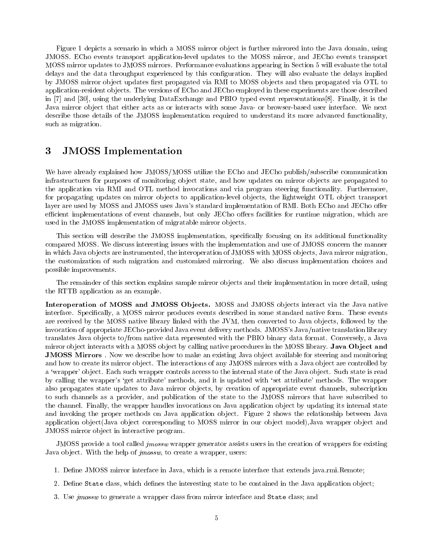Figure 1 depicts a scenario in which a MOSS mirror object is further mirrored into the Java domain, using JMOSS. ECho events transport application-level updates to the MOSS mirror, and JECho events transport MOSS mirror updates to JMOSS mirrors. Performance evaluations appearing in Section 5 will evaluate the total delays and the data throughput experienced by this configuration. They will also evaluate the delays implied by JMOSS mirror object updates first propagated via RMI to MOSS objects and then propagated via OTL to application-resident ob jects. The versions of ECho and JECho employed in these experiments are those described in [7] and [30], using the underlying DataExchange and PBIO typed event representations[8]. Finally, it is the Java mirror object that either acts as or interacts with some Java- or browser-based user interface. We next describe those details of the JMOSS implementation required to understand its more advanced functionality, such as migration.

#### 3 3 JMOSS Implementation

We have already explained how JMOSS/MOSS utilize the ECho and JECho publish/subscribe communication infrastructures for purposes of monitoring ob ject state, and how updates on mirror ob jects are propagated to the application via RMI and OTL method invocations and via program steering functionality. Furthermore, for propagating updates on mirror objects to application-level objects, the lightweight OTL object transport layer are used by MOSS and JMOSS uses Java's standard implementation of RMI. Both ECho and JECho offer efficient implementations of event channels, but only JECho offers facilities for runtime migration, which are used in the JMOSS implementation of migratable mirror ob jects.

This section will describe the JMOSS implementation, specifically focusing on its additional functionality compared MOSS. We discuss interesting issues with the implementation and use of JMOSS concern the manner in which Java ob jects are instrumented, the interoperation of JMOSS with MOSS ob jects, Java mirror migration, the customization of such migration and customized mirroring. We also discuss implementation choices and possible improvements.

The remainder of this section explains sample mirror objects and their implementation in more detail, using the RTTB application as an example.

Interoperation of MOSS and JMOSS Ob jects. MOSS and JMOSS ob jects interact via the Java native interface. Specifically, a MOSS mirror produces events described in some standard native form. These events are received by the MOSS native library linked with the JVM, then converted to Java ob jects, followed by the invocation of appropriate JECho-provided Java event delivery methods. JMOSS's Java/native translation library translates Java ob jects to/from native data represented with the PBIO binary data format. Conversely, a Java mirror object interacts with a MOSS object by calling native procedures in the MOSS library. Java Object and JMOSS Mirrors . Now we describe how to make an existing Java ob ject available for steering and monitoring and how to create its mirror object. The interactions of any JMOSS mirrors with a Java object are controlled by a 'wrapper' object. Each such wrapper controls access to the internal state of the Java object. Such state is read by calling the wrapper's `get attribute' methods, and it is updated with `set attribute' methods. The wrapper also propagates state updates to Java mirror ob jects, by creation of appropriate event channels, subscription to such channels as a provider, and publication of the state to the JMOSS mirrors that have subscribed to the channel. Finally, the wrapper handles invocations on Java application object by updating its internal state and invoking the proper methods on Java application object. Figure 2 shows the relationship between Java application object(Java object corresponding to MOSS mirror in our object model), Java wrapper object and JMOSS mirror ob ject in interactive program.

JMOSS provide a tool called jmossw wrapper generator assists users in the creation of wrappers for existing Java object. With the help of *jmossw*, to create a wrapper, users:

- 1. Define JMOSS mirror interface in Java, which is a remote interface that extends java.rmi.Remote;
- 2. Define State class, which defines the interesting state to be contained in the Java application object;
- 3. Use jmossw to generate a wrapper class from mirror interface and State class; and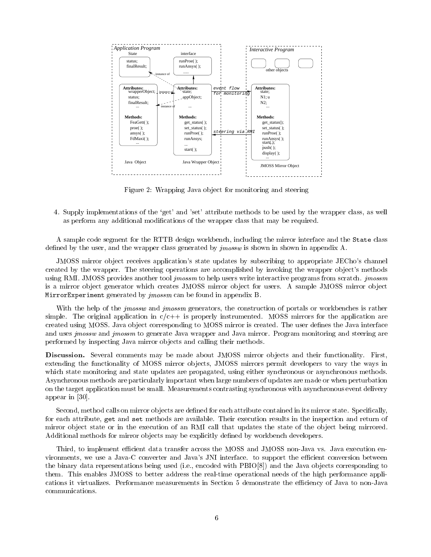

Figure 2: Wrapping Java object for monitoring and steering

4. Supply implementations of the `get' and 'set' attribute methods to be used by the wrapper class, as well as perform any additional modications of the wrapper class that may be required.

A sample code segment for the RTTB design workbench, including the mirror interface and the State class defined by the user, and the wrapper class generated by *jmossw* is shown in shown in appendix A.

JMOSS mirror ob ject receives application's state updates by subscribing to appropriate JECho's channel created by the wrapper. The steering operations are accomplished by invoking the wrapper object's methods using RMI. JMOSS provides another tool *jmossm* to help users write interactive programs from scratch. *jmossm* is a mirror object generator which creates JMOSS mirror object for users. A sample JMOSS mirror object  $max$  is  $max$  or  $max$  generated by jmossm can be found in appendix B.

With the help of the *jmossw* and *jmossm* generators, the construction of portals or workbenches is rather simple. The original application in  $c/c++$  is properly instrumented. MOSS mirrors for the application are created using MOSS. Java object corresponding to MOSS mirror is created. The user defines the Java interface and uses *jmossw* and *jmossm* to generate Java wrapper and Java mirror. Program monitoring and steering are performed by inspecting Java mirror ob jects and calling their methods.

Discussion. Several comments may be made about JMOSS mirror ob jects and their functionality. First, extending the functionality of MOSS mirror objects, JMOSS mirrors permit developers to vary the ways in which state monitoring and state updates are propagated, using either synchronous or asynchronous methods. Asynchronous methods are particularly important when large numbers of updates are made or when perturbation on the target application must be small. Measurements contrasting synchronous with asynchronous event delivery appear in [30].

Second, method calls on mirror objects are defined for each attribute contained in its mirror state. Specifically, for each attribute, get and set methods are available. Their execution results in the inspection and return of mirror object state or in the execution of an RMI call that updates the state of the object being mirrored. Additional methods for mirror objects may be explicitly defined by workbench developers.

Third, to implement efficient data transfer across the MOSS and JMOSS non-Java vs. Java execution environments, we use a Java-C converter and Java's JNI interface. to support the efficient conversion between the binary data representations being used (i.e., encoded with PBIO[8]) and the Java objects corresponding to them. This enables JMOSS to better address the real-time operational needs of the high performance applications it virtualizes. Performance measurements in Section 5 demonstrate the efficiency of Java to non-Java communications.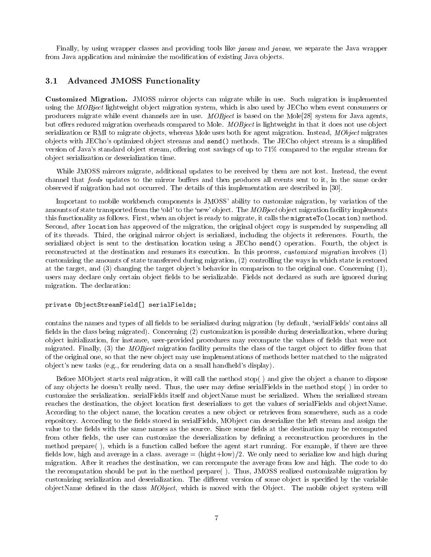Finally, by using wrapper classes and providing tools like javaw and javaw, we separate the Java wrapper from Java application and minimize the modification of existing Java objects.

### 3.1 Advanced JMOSS Functionality

Customized Migration. JMOSS mirror objects can migrate which in use. Such migration is implemented. using the *MOBject* lightweight object migration system, which is also used by JECho when event consumers or producers migrate while event channels are in use. MOBject is based on the Mole[28] system for Java agents, but offers reduced migration overheads compared to Mole. *MOBject* is lightweight in that it does not use object serialization or RMI to migrate objects, whereas Mole uses both for agent migration. Instead, MObject migrates ob jects with JECho's optimized ob ject streams and send() methods. The JECho ob ject stream is a simplied version of Java's standard object stream, offering cost savings of up to 71% compared to the regular stream for ob ject serialization or deserialization time.

While JMOSS mirrors migrate, additional updates to be received by them are not lost. Instead, the event channel that feeds updates to the mirror buffers and then produces all events sent to it, in the same order observed if migration had not occurred. The details of this implementation are described in [30].

Important to mobile workbench components is JMOSS' ability to customize migration, by variation of the amounts of state transported from the 'old' to the 'new' object. The *MOBject* object migration facility implements this functionality as follows. First, when an object is ready to migrate, it calls the migrateTo(location) method. Second, after location has approved of the migration, the original object copy is suspended by suspending all of its threads. Third, the original mirror ob ject is serialized, including the ob jects it references. Fourth, the serialized object is sent to the destination location using a JECho send() operation. Fourth, the object is reconstructed at the destination and resumes its execution. In this process, customized migration involves (1) customizing the amounts of state transferred during migration, (2) controlling the ways in which state is restored at the target, and (3) changing the target ob ject's behavior in comparison to the original one. Concerning (1), users may declare only certain object fields to be serializable. Fields not declared as such are ignored during migration. The declaration:

#### private ObjectStream Form [] serialfields;

contains the names and types of all fields to be serialized during migration (by default, 'serialFields' contains all fields in the class being migrated). Concerning (2) customization is possible during deserialization, where during object initialization, for instance, user-provided procedures may recompute the values of fields that were not migrated. Finally,  $(3)$  the *MOBject* migration facility permits the class of the target object to differ from that of the original one, so that the new ob ject may use implementations of methods better matched to the migrated ob ject's new tasks (e.g., for rendering data on a small handheld's display).

Before MObject starts real migration, it will call the method stop() and give the object a chance to dispose of any objects he doesn't really need. Thus, the user may define serial Fields in the method stop() in order to customize the serialization. serialFields itself and ob jectName must be serialized. When the serialized stream reaches the destination, the object location first deserializes to get the values of serialFields and objectName. According to the object name, the location creates a new object or retrieves from somewhere, such as a code repository. According to the fields stored in serialFields, MObject can deserialize the left stream and assign the value to the fields with the same names as the source. Since some fields at the destination may be recomputed from other fields, the user can customize the deserialization by defining a reconstruction procedures in the method prepare( ), which is a function called before the agent start running. For example, if there are three fields low, high and average in a class. average  $=$  (hight+low)/2. We only need to serialize low and high during migration. After it reaches the destination, we can recompute the average from low and high. The code to do the recomputation should be put in the method prepare( ). Thus, JMOSS realized customizable migration by customizing serialization and deserialization. The different version of some object is specified by the variable objectName defined in the class  $MObject$ , which is moved with the Object. The mobile object system will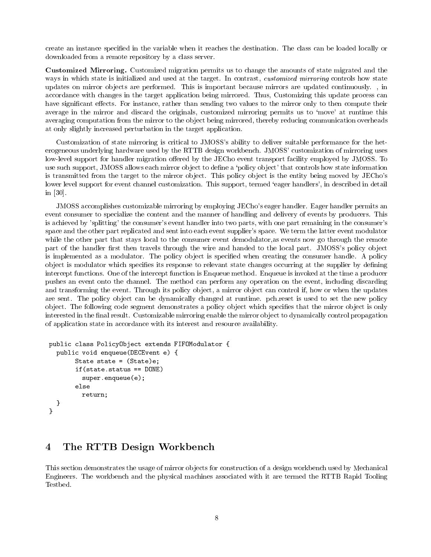create an instance specied in the variable when it reaches the destination. The class can be loaded locally or downloaded from a remote repository by a class server.

Customized Mirroring. Customized migration permits us to change the amounts of state migrated and the ways in which state is initialized and used at the target. In contrast, *customized mirroring* controls how state updates on mirror ob jects are performed. This is important because mirrors are updated continuously. , in accordance with changes in the target application being mirrored. Thus, Customizing this update process can have significant effects. For instance, rather than sending two values to the mirror only to then compute their average in the mirror and discard the originals, customized mirroring permits us to 'move' at runtime this averaging computation from the mirror to the object being mirrored, thereby reducing communication overheads at only slightly increased perturbation in the target application.

Customization of state mirroring is critical to JMOSS's ability to deliver suitable performance for the heterogeneous underlying hardware used by the RTTB design workbench. JMOSS' customization of mirroring uses low-level support for handler migration offered by the JECho event transport facility employed by JMOSS. To use such support, JMOSS allows each mirror object to define a 'policy object' that controls how state information is transmitted from the target to the mirror object. This policy object is the entity being moved by JECho's lower level support for event channel customization. This support, termed 'eager handlers', in described in detail in [30].

JMOSS accomplishes customizable mirroring by employing JECho's eager handler. Eager handler permits an event consumer to specialize the content and the manner of handling and delivery of events by producers. This is achieved by 'splitting' the consumer's event handler into two parts, with one part remaining in the consumer's space and the other part replicated and sent into each event supplier's space. We term the latter event modulator while the other part that stays local to the consumer event demodulator, as events now go through the remote part of the handler first then travels through the wire and handed to the local part. JMOSS's policy object is implemented as a modulator. The policy object is specified when creating the consumer handle. A policy object is modulator which specifies its response to relevant state changes occurring at the supplier by defining intercept functions. One of the intercept function is Enqueue method. Enqueue is invoked at the time a producer pushes an event onto the channel. The method can perform any operation on the event, including discarding and transforming the event. Through its policy object, a mirror object can control if, how or when the updates are sent. The policy object can be dynamically changed at runtime. pch.reset is used to set the new policy object. The following code segment demonstrates a policy object which specifies that the mirror object is only interested in the final result. Customizable mirroring enable the mirror object to dynamically control propagation of application state in accordance with its interest and resource availability.

```
public class PolicyObject extends FIFOModulator {
  public void enqueue(DECEvent e) {
      State state = (State)e;
      if(state.status == DONE)
       super.enqueue(e);elsereturn;}}
```
#### $\overline{\mathbf{4}}$ The RTTB Design Workbench

This section demonstrates the usage of mirror objects for construction of a design workbench used by Mechanical Engineers. The workbench and the physical machines associated with it are termed the RTTB Rapid Tooling Testbed.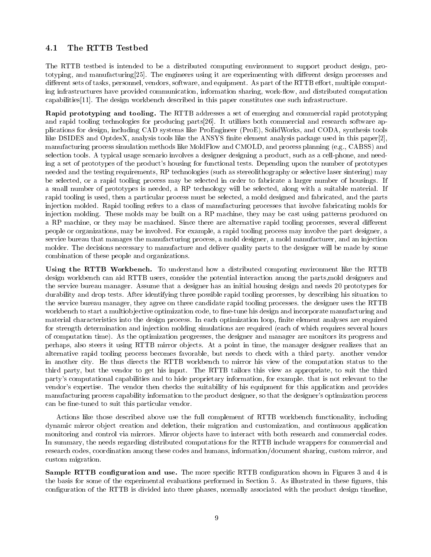#### The RTTB Testbed  $4.1$

The RTTB testbed isintended to be a distributed computing environment to support product design, prototyping, and manufacturing[25]. The engineers using it are experimenting with different design processes and different sets of tasks, personnel, vendors, software, and equipment. As part of the RTTB effort, multiple computing infrastructures have provided communication, information sharing, work-flow, and distributed computation capabilities[11]. The design workbench described in this paper constitutes one such infrastructure.

Rapid prototyping and tooling. The RTTB addresses a set of emerging and commercial rapid prototyping and rapid tooling technologies for producing parts[26]. It utilizes both commercial and research software applications for design, including CAD systems like ProEngineer (ProE), SolidWorks, and CODA, synthesis tools like DSIDES and OptdesX, analysis tools like the ANSYS finite element analysis package used in this paper[2], manufacturing process simulation methods like MoldFlow and CMOLD, and process planning (e.g., CABSS) and selection tools. A typical usage scenario involves a designer designing a product, such as a cell-phone, and needing a set of prototypes of the product's housing for functional tests. Depending upon the number of prototypes needed and the testing requirements, RP technologies (such as stereolithography or selective laser sintering) may be selected, or a rapid tooling process may be selected in order to fabricate a larger number of housings. If a small number of prototypes is needed, a RP technology will be selected, along with a suitable material. If rapid tooling is used, then a particular process must be selected, a mold designed and fabricated, and the parts injection molded. Rapid tooling refers to a class of manufacturing processes that involve fabricating molds for injection molding. These molds may be built on a RP machine, they may be cast using patterns produced on a RP machine, or they may be machined. Since there are alternative rapid tooling processes, several different people or organizations, may be involved. For example, a rapid tooling process may involve the part designer, a service bureau that manages the manufacturing process, a mold designer, a mold manufacturer, and an injection molder. The decisions necessary to manufacture and deliver quality parts to the designer will be made by some combination of these people and organizations.

Using the RTTB Workbench. To understand how a distributed computing environment like the RTTB design workbench can aid RTTB users, consider the potential interaction among the parts,mold designers and the service bureau manager. Assume that a designer has an initial housing design and needs 20 prototypes for durability and drop tests. After identifying three possible rapid tooling processes, by describing his situation to the service bureau manager, they agree on three candidate rapid tooling processes. the designer uses the RTTB workbench to start a multiobjective optimization code, to fine-tune his design and incorporate manufacturing and material characteristics into the design process. In each optimization loop, finite element analyses are required for strength determination and injection molding simulations are required (each of which requires several hours of computation time). As the optimization progresses, the designer and manager are monitors its progress and perhaps, also steers it using RTTB mirror ob jects. At a point in time, the manager designer realizes that an alternative rapid tooling process becomes favorable, but needs to check with a third party. another vendor in another city. He thus directs the RTTB workbench to mirror his view of the computation status to the third party, but the vendor to get his input. The RTTB tailors this view as appropriate, to suit the third party's computational capabilities and to hide proprietary information, for example. that is not relevant to the vendor's expertise. The vendor then checks the suitability of his equipment for this application and provides manufacturing process capability information to the product designer, so that the designer's optimization process can be fine-tuned to suit this particular vendor.

Actions like those described above use the full complement of RTTB workbench functionality, including dynamic mirror ob ject creation and deletion, their migration and customization, and continuous application monitoring and control via mirrors. Mirror objects have to interact with both research and commercial codes. In summary, the needs regarding distributed computations for the RTTB include wrappers for commercial and research codes, coordination among these codes and humans, information/document sharing, custom mirror, and custom migration.

 $S$  and  $S$  is the set  $S$  consideration and use. The more specific reference specification shown in Figures 3 and 4 is the basis for some of the experimental evaluations performed in Section 5. As illustrated in these figures, this configuration of the RTTB is divided into three phases, normally associated with the product design timeline,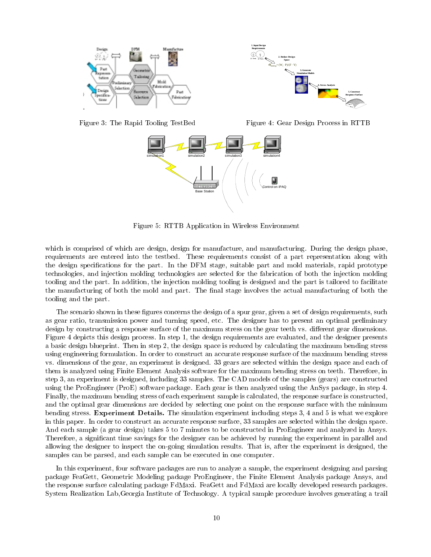

Figure 3: The Rapid Tooling TestBed

Figure 4: Gear Design Process in RTTB



Figure 5: RTTB Application in Wireless Environment

which is comprised of which are design, design for manufacture, and manufacturing. During the design phase, requirements are entered into the testbed. These requirements consist of a part representation along with the design specications for the part. In the DFM stage, suitable part and mold materials, rapid prototype technologies, and injection molding technologies are selected for the fabrication of both the injection molding tooling and the part. In addition, the injection molding tooling is designed and the part is tailored to facilitate the manufacturing of both the mold and part. The final stage involves the actual manufacturing of both the tooling and the part.

The scenario shown in these figures concerns the design of a spur gear, given a set of design requirements, such as gear ratio, transmission power and turning speed, etc. The designer has to present an optimal preliminary design by constructing a response surface of the maximum stress on the gear teeth vs. different gear dimensions. Figure 4 depicts this design process. In step 1, the design requirements are evaluated, and the designer presents a basic design blueprint. Then in step 2, the design space is reduced by calculating the maximum bending stress using engineering formulation. In order to construct an accurate response surface of the maximum bending stress vs. dimensions of the gear, an experiment is designed. 33 gears are selected within the design space and each of them is analyzed using Finite Element Analysis software for the maximum bending stress on teeth. Therefore, in step 3, an experiment is designed, including 33 samples. The CAD models of the samples (gears) are constructed using the ProEngineer (ProE) software package. Each gear is then analyzed using the AnSys package, in step 4. Finally, the maximum bending stress of each experiment sample is calculated, the response surface is constructed, and the optimal gear dimensions are decided by selecting one point on the response surface with the minimum bending stress. Experiment Details. The simulation experiment including steps 3, 4 and 5 is what we explore in this paper. In order to construct an accurate response surface, 33 samples are selected within the design space. And each sample (a gear design) takes 5 to 7 minutes to be constructed in ProEngineer and analyzed in Ansys. Therefore, a signicant time savings for the designer can be achieved by running the experiment in parallel and allowing the designer to inspect the on-going simulation results. That is, after the experiment is designed, the samples can be parsed, and each sample can be executed in one computer.

In this experiment, four software packages are run to analyze a sample, the experiment designing and parsing package FeaGett, Geometric Modeling package ProEngineer, the Finite Element Analysis package Ansys, and the response surface calculating package FdMaxi. FeaGett and FdMaxi are locally developed research packages. System Realization Lab,Georgia Institute of Technology. A typical sample procedure involves generating a trail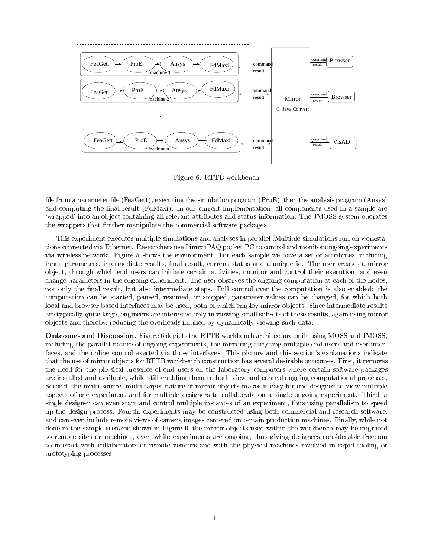

Figure 6: RTTB workbench

file from a parameter file (FeaGett), executing the simulation program (ProE), then the analysis program (Ansys) and computing the final result (FdMaxi). In our current implementation, all components used in a sample are `wrapped' into an ob ject containing all relevant attributes and status information. The JMOSS system operates the wrappers that further manipulate the commercial software packages.

This experiment executes multiple simulations and analyses in parallel..Multiple simulations run on workstations connected via Ethernet. Researchers use Linux iPAQ pocket PC to control and monitor ongoing experiments via wireless network. Figure 5 shows the environment. For each sample we have a set of attributes, including input parameters, intermediate results, final result, current status and a unique id. The user creates a mirror ob ject, through which end users can initiate certain activities, monitor and control their execution, and even change parameters in the ongoing experiment. The user observes the ongoing computation at each of the nodes, not only the final result, but also intermediate steps. Full control over the computation is also enabled: the computation can be started, paused, resumed, or stopped, parameter values can be changed, for which both local and browser-based interfaces may be used, both of which employ mirror objects. Since intermediate results are typically quite large, engineers are interested only in viewing small subsets of these results, again using mirror ob jects and thereby, reducing the overheads implied by dynamically viewing such data.

Outcomes and Discussion. Figure 6 depicts the RTTB workbench architecture built using MOSS and JMOSS, including the parallel nature of ongoing experiments, the mirroring targeting multiple end users and user interfaces, and the online control exerted via those interfaces. This picture and this section's explanations indicate that the use of mirror ob jects for RTTB workbench construction has several desirable outcomes. First, it removes the need for the physical presence of end users on the laboratory computers where certain software packages are installed and available, while still enabling them to both view and control ongoing computational processes. Second, the multi-source, multi-target nature of mirror objects makes it easy for one designer to view multiple aspects of one experiment and for multiple designers to collaborate on a single ongoing experiment. Third, a single designer can even start and control multiple instances of an experiment, thus using parallelism to speed up the design process. Fourth, experiments may be constructed using both commercial and research software, and can even include remote views of camera images centered on certain production machines. Finally, while not done in the sample scenario shown in Figure 6, the mirror objects used within the workbench may be migrated to remote sites or machines, even while experiments are ongoing, thus giving designers considerable freedom to interact with collaborators or remote vendors and with the physical machines involved in rapid tooling or prototyping processes.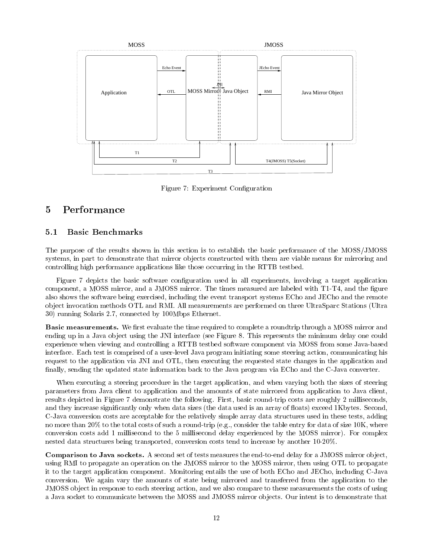

Figure 7: Experiment Conguration

#### $\operatorname{Performance}$  $\overline{5}$

#### $5.1$ 5.1 Basic Benchmarks

The purpose of the results shown in this section is to establish the basic performance of the MOSS/JMOSS systems, in part to demonstrate that mirror objects constructed with them are viable means for mirroring and controlling high performance applications like those occurring in the RTTB testbed.

Figure 7 depicts the basic software conguration used in all experiments, involving a target application component, a MOSS mirror, and a JMOSS mirror. The times measured are labeled with T1-T4, and the figure also shows the software being exercised, including the event transport systems ECho and JECho and the remote ob ject invocation methods OTL and RMI. All measurements are performed on three UltraSparc Stations (Ultra 30) running Solaris 2.7, connected by 100Mbps Ethernet.

Basic measurements. We rst evaluate the time required to complete a roundtrip through a MOSS mirror and ending up in a Java ob ject using the JNI interface (see Figure 8. This represents the minimum delay one could experience when viewing and controlling a RTTB testbed software component via MOSS from some Java-based interface. Each test is comprised of a user-level Java program initiating some steering action, communicating his request to the application via JNI and OTL, then executing the requested state changes in the application and finally, sending the updated state information back to the Java program via ECho and the C-Java converter.

When executing a steering procedure in the target application, and when varying both the sizes of steering parameters from Java client to application and the amounts of state mirrored from application to Java client, results depicted in Figure 7 demonstrate the following. First, basic round-trip costs are roughly 2 milliseconds, and they increase significantly only when data sizes (the data used is an array of floats) exceed 1Kbytes. Second, C-Java conversion costs are acceptable for the relatively simple array data structures used in these tests, adding no more than 20% to the total costs of such a round-trip (e.g., consider the table entry for data of size 10K, where conversion costs add 1 millisecond to the 5 millisecond delay experienced by the MOSS mirror). For complex nested data structures being transported, conversion costs tend to increase by another 10-20%.

Comparison to Java sockets. A second set of tests measures the end-to-end delay for a JMOSS mirror ob ject, using RMI to propagate an operation on the JMOSS mirror to the MOSS mirror, then using OTL to propagate it to the target application component. Monitoring entails the use of both ECho and JECho, including C-Java conversion. We again vary the amounts of state being mirrored and transferred from the application to the JMOSS ob ject in response to each steering action, and we also compare to these measurements the costs of using a Java socket to communicate between the MOSS and JMOSS mirror objects. Our intent is to demonstrate that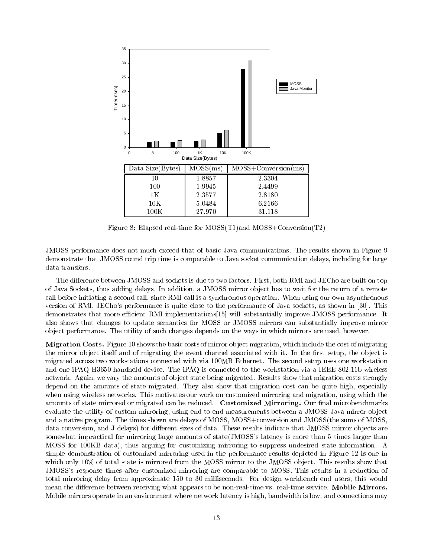

Figure 8: Elapsed real-time for MOSS(T1)and MOSS+Conversion(T2)

JMOSS performance does not much exceed that of basic Java communications. The results shown in Figure 9 demonstrate that JMOSS round trip time is comparable to Java socket communication delays, including for large data transfers.

The difference between JMOSS and sockets is due to two factors. First, both RMI and JECho are built on top of Java Sockets, thus adding delays. In addition, a JMOSS mirror ob ject has to wait for the return of a remote call before initiating a second call, since RMI call is a synchronous operation. When using our own asynchronous version of RMI, JECho's performance is quite close to the performance of Java sockets, as shown in [30]. This demonstrates that more efficient RMI implementations [15] will substantially improve JMOSS performance. It also shows that changes to update semantics for MOSS or JMOSS mirrors can substantially improve mirror ob ject performance. The utility of such changes depends on the ways in which mirrors are used, however.

Migration Costs. Figure 10 shows the basic costs of mirror ob ject migration, which include the cost of migrating the mirror object itself and of migrating the event channel associated with it. In the first setup, the object is migrated across two workstations connected with via 100MB Ethernet. The second setup uses one workstation and one iPAQ H3650 handheld device. The iPAQ is connected to the workstation via a IEEE 802.11b wireless network. Again, we vary the amounts of object state being migrated. Results show that migration costs strongly depend on the amounts of state migrated. They also show that migration cost can be quite high, especially when using wireless networks. This motivates our work on customized mirroring and migration, using which the amounts of state mirrored or migrated can be reduced. Customized Mirroring. Our final microbenchmarks evaluate the utility of custom mirroring, using end-to-end measurements between a JMOSS Java mirror object and a native program. The times shown are delays of MOSS, MOSS+conversion and JMOSS(the sums of MOSS, data conversion, and J delays) for different sizes of data. These results indicate that JMOSS mirror objects are somewhat impractical for mirroring large amounts of state(JMOSS's latency is more than 5 times larger than MOSS for 100KB data), thus arguing for customizing mirroring to suppress undesired state information. A simple demonstration of customized mirroring used in the performance results depicted in Figure 12 is one in which only 10% of total state is mirrored from the MOSS mirror to the JMOSS object. This results show that JMOSS's response times after customized mirroring are comparable to MOSS. This results in a reduction of total mirroring delay from approximate 150 to 30 milliseconds. For design workbench end users, this would mean the difference between receiving what appears to be non-real-time vs. real-time service. Mobile Mirrors. Mobile mirrors operate in an environment where network latency is high, bandwidth is low, and connections may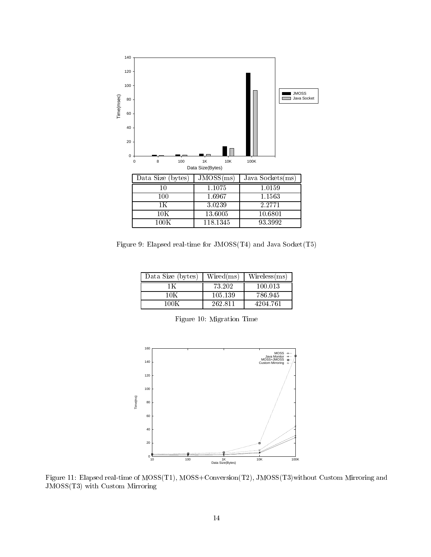

Figure 9: Elapsed real-time for JMOSS(T4) and Java Socket(T5)

| Data Size (bytes) | Wired(ms) | Wireless(ms) |
|-------------------|-----------|--------------|
|                   | 73.202    | 100.013      |
|                   | 105.139   | 786.945      |
|                   | 262.811   | 4204.761     |

Figure 10: Migration Time



Figure 11: Elapsed real-time of MOSS(T1), MOSS+Conversion(T2), JMOSS(T3)without Custom Mirroring and JMOSS(T3) with Custom Mirroring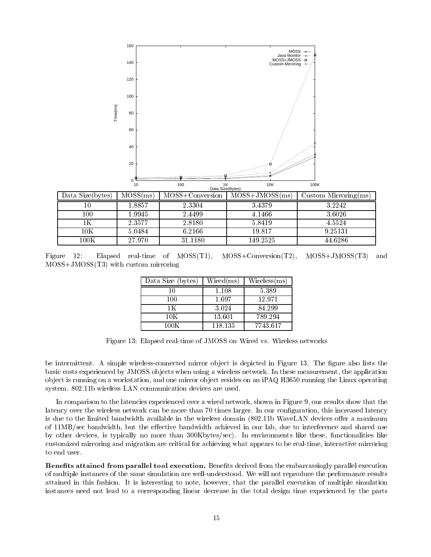

| Data Size(bytes) | MOSS(ms) | MOSS+Conversion | $MOSS+JMOSS(ms)$ | Custom Mirroring $(ms)$ |
|------------------|----------|-----------------|------------------|-------------------------|
| 10               | 1.8857   | 2.3304          | 3.4379           | 3.2242                  |
| 100              | 1.9945   | 2.4499          | 4.1466           | 3.6026                  |
| 1Κ               | 2.3577   | 2.8180          | 5.8419           | 4.5524                  |
| $10\mathrm{K}$   | 5.0484   | 6.2166          | 19.817           | 9.25131                 |
| $100\mathrm{K}$  | 27.970   | 31.1180         | 149.2525         | 44.6286                 |

Figure 12: Elapsed real-time of MOSS(T1), MOSS+Conversion(T2), MOSS+JMOSS(T3) and MOSS+JMOSS(T3) with custom mirroring

| Data Size (bytes) | $\rm{Wired}\rm{(ms)}$ | $\rm{Wireless}(\rm{ms})$ |
|-------------------|-----------------------|--------------------------|
| 10                | $1.108\,$             | 5.389                    |
| 100               | 1.697                 | 12.971                   |
| 1 K               | 3.024                 | 84.299                   |
| 10K               | 13.601                | 789.294                  |
| 100K              | 118.135               | 7743.617                 |

Figure 13: Elapsed real-time of JMOSS on Wired vs. Wireless networks

be intermittent. A simple wireless-connected mirror object is depicted in Figure 13. The figure also lists the basic costs experienced by JMOSS ob jects when using a wireless network. In these measurement, the application ob ject is running on a workstation, and one mirror ob ject resides on an iPAQ H3650 running the Linux operating system. 802.11b wireless LAN communication devices are used.

In comparison to the latencies experienced over a wired network, shown in Figure 9, our results show that the latency over the wireless network can be more than 70 times larger. In our conguration, this increased latency is due to the limited bandwidth available in the wireless domain (802.11b WaveLAN devices offer a maximum of 11MB/sec bandwidth, but the effective bandwidth achieved in our lab, due to interference and shared use by other devices, is typically no more than 300Kbytes/sec). In environments like these, functionalities like customized mirroring and migration are critical for achieving what appears to be real-time, interactive mirroring to end user.

Defients attained from parallel tool execution. Benefits defived from the embarrassingly parallel execution of multiple instances of the same simulation are well-understood. We will not reproduce the performance results attained in this fashion. It is interesting to note, however, that the parallel execution of multiple simulation instances need not lead to a corresponding linear decrease in the total design time experienced by the parts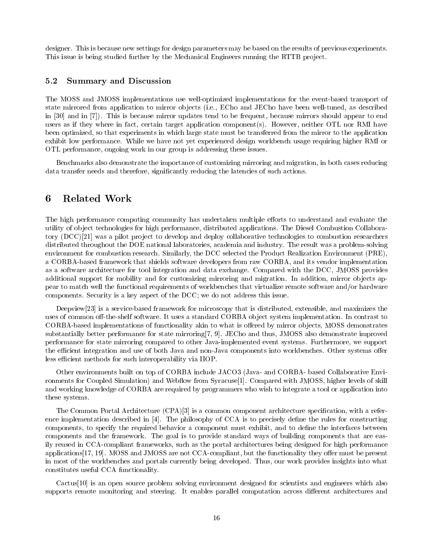designer. This is because new settings for design parameters may be based on the results of previous experiments. This issue is being studied further by the Mechanical Engineers running the RTTB project.

### 5.2 Summary and Discussion

The MOSS and JMOSS implementations use well-optimized implementations for the event-based transport of state mirrored from application to mirror ob jects (i.e., ECho and JECho have been well-tuned, as described in [30] and in [7]). This is because mirror updates tend to be frequent, because mirrors should appear to end users as if they where in fact, certain target application component(s). However, neither OTL nor RMI have been optimized, so that experiments in which large state must be transferred from the mirror to the application exhibit low performance. While we have not yet experienced design workbench usage requiring higher RMI or OTL performance, ongoing work in our group is addressing these issues.

Benchmarks also demonstrate the importance of customizing mirroring and migration, in both cases reducing data transfer needs and therefore, signicantly reducing the latencies of such actions.

#### 6 Related Work

The high performance computing community has undertaken multiple efforts to understand and evaluate the utility of ob ject technologies for high performance, distributed applications. The Diesel Combustion Collaboratory (DCC)[21] was a pilot project to develop and deploy collaborative technologies to combustion researchers distributed throughout the DOE national laboratories, academia and industry. The result was a problem-solving environment for combustion research. Similarly, the DCC selected the Product Realization Environment (PRE), a CORBA-based framework that shields software developers from raw CORBA, and its vendor implementation as a software architecture for tool integration and data exchange. Compared with the DCC, JMOSS provides additional support for mobility and for customizing mirroring and migration. In addition, mirror objects appear to match well the functional requirements of workbenches that virtualize remote software and/or hardware components. Security is a key aspect of the DCC; we do not address this issue.

Deepview[23] is a service-based framework for microscopy that is distributed, extensible, and maximizes the uses of common off-the-shelf software. It uses a standard CORBA object system implementation. In contrast to CORBA-based implementations of functionality akin to what is offered by mirror objects, MOSS demonstrates substantially better performance for state mirroring[7, 9]. JECho and thus, JMOSS also demonstrate improved performance for state mirroring compared to other Java-implemented event systems. Furthermore, we support the efficient integration and use of both Java and non-Java components into workbenches. Other systems offer less efficient methods for such interoperability via IIOP.

Other environments built on top of CORBA include JACO3 (Java- and CORBA- based Collaborative Environments for Coupled Simulation) and Webflow from Syracuse<sup>[1]</sup>. Compared with JMOSS, higher levels of skill and working knowledge of CORBA are required by programmers who wish to integrate a tool or application into these systems.

The Common Portal Architecture (CPA)[3] is a common component architecture specication, with a reference implementation described in [4]. The philosophy of CCA is to precisely define the rules for constructing components, to specify the required behavior a component must exhibit, and to define the interfaces between components and the framework. The goal is to provide standard ways of building components that are easily reused in CCA-compliant frameworks, such as the portal architectures being designed for high performance applications  $[17, 19]$ . MOSS and JMOSS are not CCA-compliant, but the functionality they offer must be present in most of the workbenches and portals currently being developed. Thus, our work provides insights into what constitutes useful CCA functionality.

Cactus[10] is an open source problem solving environment designed for scientists and engineers which also supports remote monitoring and steering. It enables parallel computation across different architectures and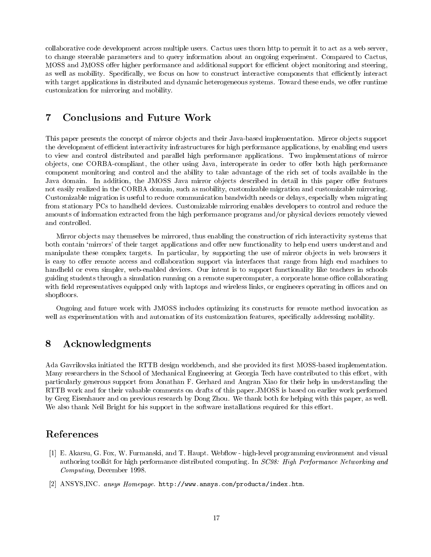collaborative code development across multiple users. Cactus uses thorn http to permit it to act as a web server, to change steerable parameters and to query information about an ongoing experiment. Compared to Cactus, MOSS and JMOSS offer higher performance and additional support for efficient object monitoring and steering, as well as mobility. Specifically, we focus on how to construct interactive components that efficiently interact with target applications in distributed and dynamic heterogeneous systems. Toward these ends, we offer runtime customization for mirroring and mobility.

#### $\overline{7}$ Conclusions and Future Work

This paper presents the concept of mirror objects and their Java-based implementation. Mirror objects support the development of efficient interactivity infrastructures for high performance applications, by enabling end users to view and control distributed and parallel high performance applications. Two implementations of mirror objects, one CORBA-compliant, the other using Java, interoperate in order to offer both high performance component monitoring and control and the ability to take advantage of the rich set of tools available in the Java domain. In addition, the JMOSS Java mirror objects described in detail in this paper offer features not easily realized in the CORBA domain, such as mobility, customizable migration and customizable mirroring. Customizable migration is useful to reduce communication bandwidth needs or delays, especially when migrating from stationary PCs to handheld devices. Customizable mirroring enables developers to control and reduce the amounts of information extracted from the high performance programs and/or physical devices remotely viewed and controlled.

Mirror ob jects may themselves be mirrored, thus enabling the construction of rich interactivity systems that both contain 'mirrors' of their target applications and offer new functionality to help end users understand and manipulate these complex targets. In particular, by supporting the use of mirror objects in web browsers it is easy to offer remote access and collaboration support via interfaces that range from high end machines to handheld or even simpler, web-enabled devices. Our intent is to support functionality like teachers in schools guiding students through a simulation running on a remote supercomputer, a corporate home office collaborating with field representatives equipped only with laptops and wireless links, or engineers operating in offices and on shopfloors.

Ongoing and future work with JMOSS includes optimizing its constructs for remote method invocation as well as experimentation with and automation of its customization features, specifically addressing mobility.

### 8 Acknowledgments

Ada Gavrilovska initiated the RTTB design workbench, and she provided its first MOSS-based implementation. Many researchers in the School of Mechanical Engineering at Georgia Tech have contributed to this effort, with particularly generous support from Jonathan F. Gerhard and Angran Xiao for their help in understanding the RTTB work and for their valuable comments on drafts of this paper.JMOSS is based on earlier work performed by Greg Eisenhauer and on previous research by Dong Zhou. We thank both for helping with this paper, as well. We also thank Neil Bright for his support in the software installations required for this effort.

# References

- [1] E. Akarsu, G. Fox, W. Furmanski, and T. Haupt. Webflow high-level programming environment and visual authoring toolkit for high performance distributed computing. In SC98: High Performance Networking and Computing, December 1998.
- [2] ANSYS,INC. ansys Homepage. http://www.ansys.com/products/index.htm.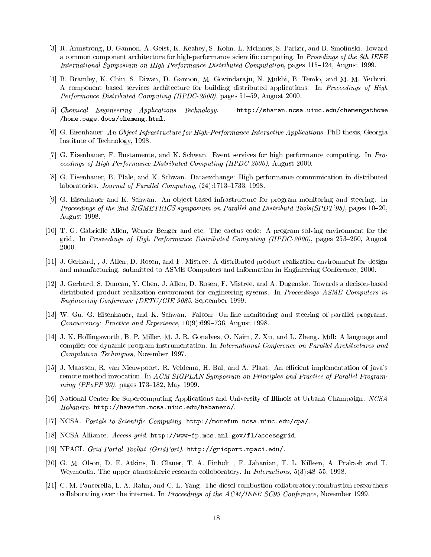- [3] R. Armstrong, D. Gannon, A. Geist, K. Keahey, S. Kohn, L. McInnes, S. Parker, and B. Smolinski. Toward a common component architecture for high-performance scientific computing. In Procedings of the 8th IEEE International Symposium on HIgh Performance Distributed Computation, pages 115-124, August 1999.
- [4] B. Bramley, K. Chiu, S. Diwan, D. Gannon, M. Govindara ju, N. Mukhi, B. Temlo, and M. M. Yechuri. A component based services architecture for building distributed applications. In Proceedings of High Performance Distributed Computing (HPDC-2000), pages 51-59, August 2000.
- [5] Chemical Engineering Applications Technology. http://sharan.ncsa.uiuc.edu/chemengathome /home.page.docs/chemeng.html.
- [6] G. Eisenhauer. An Object Infrastructure for High-Performance Interactive Applications. PhD thesis, Georgia Institute of Technology, 1998.
- [7] G. Eisenhauer, F. Bustamente, and K. Schwan. Event services for high performance computing. In Proceedings of High Performance Distributed Computing (HPDC-2000), August 2000.
- [8] G. Eisenhauer, B. Plale, and K. Schwan. Dataexchange: High performance communication in distributed laboratories. Journal of Parallel Computing,  $(24):1713-1733$ , 1998.
- [9] G. Eisenhauer and K. Schwan. An ob ject-based infrastructure for program monitoring and steering. In Proceedings of the 2nd SIGMETRICS symposium on Parallel and Distributd Tools(SPDT'98), pages 10-20, August 1998.
- [10] T. G. Gabrielle Allen, Werner Benger and etc. The cactus code: A program solving environment for the grid. In Proceedings of High Performance Distributed Computing (HPDC-2000), pages  $253-260$ , August 2000.
- [11] J. Gerhard, , J. Allen, D. Rosen, and F. Mistree. A distributed product realization environment for design and manufacturing. submitted to ASME Computers and Information in Engineering Conference, 2000.
- [12] J. Gerhard, S. Duncan, Y. Chen, J. Allen, D. Rosen, F. Mistree, and A. Dugenske. Towards a decison-based distributed product realization envoroment for engineering sysems. In Proceedings ASME Computers in Engineering Conference (DETC/CIE-9085, September 1999.
- [13] W. Gu, G. Eisenhauer, and K. Schwan. Falcon: On-line monitoring and steering of parallel programs. Concurrency: Practice and Experience,  $10(9)$ :699-736, August 1998.
- [14] J. K. Hollingsworth, B. P. Miller, M. J. R. Gonalves, O. Naim, Z. Xu, and L. Zheng. Mdl: A language and compiler eor dynamic program instrumentation. In International Conference on Parallel Architectures and Compilation Techniques, November 1997.
- [15] J. Maassen, R. van Nieuwpoort, R. Veldema, H. Bal, and A. Plaat. An efficient implementation of java's remote method invocation. In ACM SIGPLAN Symposium on Principles and Practice of Parallel Program $ming (PPoPP'99)$ , pages 173-182, May 1999.
- [16] National Center for Supercomputing Applications and University of Illinois at Urbana-Champaign. NCSA Habanero. http://havefun.ncsa.uiuc.edu/habanero/.
- [17] NCSA. Portals to Scientific Computing. http://morefun.ncsa.uiuc.edu/cpa/.
- [18] NCSA Alliance. Access grid. http://www-fp.mcs.anl.gov/fl/accessgrid.
- [19] NPACI. Grid Portal Toolkit (GridPort). http://gridport.npaci.edu/.
- [20] G. M. Olson, D. E. Atkins, R. Clauer, T. A. Finholt ,F. Jahanian, T. L. Killeen, A. Prakash and T. Weymouth. The upper atmospheric research colloboratory. In *Interactions*,  $5(3):48–55$ , 1998.
- [21] C. M. Pancerella, L. A. Rahn, and C. L. Yang. The diesel combustion collaboratory:combustion researchers collaborating over the internet. In Proceedings of the ACM/IEEE SC99 Conference, November 1999.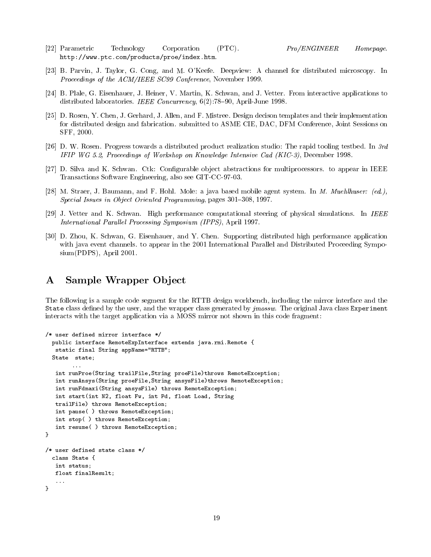- [22] Parametric Technology Corporation (PTC). Pro/ENGINEER Homepage. Corporation  $(PTC)$ . http://www.ptc.com/products/proe/index.htm.
- [23] B. Parvin, J. Taylor, G. Cong, and M. O'Keefe. Deepview: A channel for distributed microscopy. In Proceedings of the ACM/IEEE SC99 Conference, November 1999.
- [24] B. Plale, G. Eisenhauer, J. Heiner, V. Martin, K. Schwan, and J. Vetter. From interactive applications to distributed laboratories. IEEE Concurrency,  $6(2)$ : 78–90, April-June 1998.
- [25] D. Rosen, Y. Chen, J. Gerhard, J. Allen, and F. Mistree. Design decison templates and their implementation for distributed design and fabrication. submitted to ASME CIE, DAC, DFM Conference, Joint Sessions on SFF, 2000.
- [26] D. W. Rosen. Progress towards a distributed product realization studio: The rapid tooling testbed. In 3rd IFIP WG 5.2, Proceedings of Workshop on Knowledge Intensive Cad (KIC-3), December 1998.
- [27] D. Silva and K. Schwan. Ctk: Configurable object abstractions for multiprocessors. to appear in IEEE Transactions Software Engineering, also see GIT-CC-97-03.
- [28] M. Straer, J. Baumann, and F. Hohl. Mole: a java based mobile agent system. In M. Muehlhuser: (ed.),  $Special Issues in Object Oriented Programming, pages 301–308, 1997.$
- [29] J. Vetter and K. Schwan. High performance computational steering of physical simulations. In IEEE International Parallel Processing Symposium (IPPS), April 1997.
- [30] D. Zhou, K. Schwan, G. Eisenhauer, and Y. Chen. Supporting distributed high performance application with java event channels, to appear in the 2001 International Parallel and Distributed Proceeding Symposium(PDPS), April 2001.

#### Sample Wrapper Object  $\mathbf{A}$

The following is a sample code segment for the RTTB design workbench, including the mirror interface and the State class dened by the user, and the wrapper class generated by jmossw. The original Java class Experiment interacts with the target application via a MOSS mirror not shown in this code fragment:

```
/* user defined mirror interface */
 public interface RemoteExpInterface extends java.rmi.Remote {
  static final String appName="RTTB";
 State state;
        \mathbf{1}int runProe(String trailFile,String proeFile)throws RemoteException;
  int runAnsys(String proeFile,String ansysFile)throws RemoteException;
  int runFdmaxi(String ansysFile) throws RemoteException;
  int start(int N2, float Fw, int Pd, float Load, String
  trailFile) throws RemoteException;
  int pause( ) throws RemoteException;
  int stop( ) throws RemoteException;
   int resume( ) throws RemoteException;
}
/* user defined state class */
 class State {
  int status;
  float finalResult;
}
```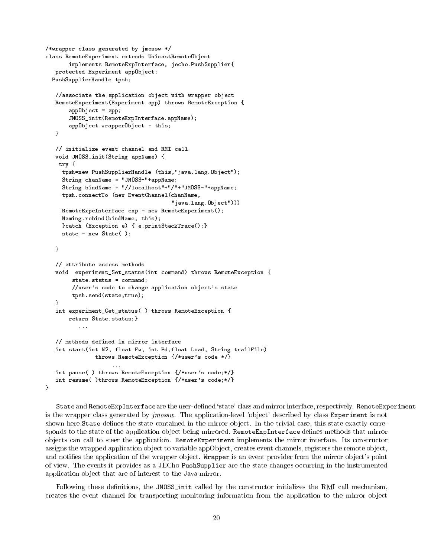```
/*wrapper class generated by jmossw */
class RemoteExperiment extends UnicastRemoteObject
       implements RemoteExpInterface, jecho.PushSupplier{
  protected Experiment appObject;
 PushSupplierHandle tpsh;
  //associate the application object with wrapper object
  RemoteExperiment(Experiment app) throws RemoteException {
       appObject = app;
       JMOSS_init(RemoteExpInterface.appName);
      appObject.wrapperObject = this;
   }
  // initialize event channel and RMI call
  void JMOSS_init(String appName) {
    try {
    tpsh=new PushSupplierHandle (this,"java.lang.Object");
    String chanName = "JMOSS-"+appName;
    String bindName = "//localhost"+"/"+"JMOSS-"+appName;
    tpsh.connectTo (new EventChannel(chanName,
                                      "java.lang.Object")))
    RemoteExpeInterface exp = new RemoteExperiment();
    Naming.rebind(bindName, this);
    }catch (Exception e) { e.printStackTrace();}
    state = new State();
  \mathcal{F}}
  // attribute access methods
  void experiment_Set_status(int command) throws RemoteException {
        state.status = command;
        //user's code to change application object's state
        tpsh.send(state,true);
  \rightarrow}
  int experiment_Get_status( ) throws RemoteException {
      return State.status;}
          ...
  // methods defined in mirror interface
  int start(int N2, float Fw, int Pd,float Load, String trailFile)
              throws RemoteException {/*user's code */}
                    ...
  int pause( ) throws RemoteException {/*user's code;*/}
  int resume( )throws RemoteException {/*user's code;*/}
}
```
 ${\tt State}$  and  ${\tt RemoveexpInterface}$  are the user-defined 'state' class and mirror interface, respectively. RemoteExperiment is the wrapper class generated by *jmossw*. The application-level 'object' described by class Experiment is not shown here.State defines the state contained in the mirror object. In the trivial case, this state exactly corresponds to the state of the application object being mirrored. RemoteExpInterface defines methods that mirror ob jects can call to steer the application. RemoteExperiment implements the mirror interface. Its constructor assigns the wrapped application object to variable appObject, creates event channels, registers the remote object, and notifies the application of the wrapper object. Wrapper is an event provider from the mirror object's point of view. The events it provides as a JECho PushSupplier are the state changes occurring in the instrumented application ob ject that are of interest to the Java mirror.

Following these definitions, the JMOSS init called by the constructor initializes the RMI call mechanism, creates the event channel for transporting monitoring information from the application to the mirror object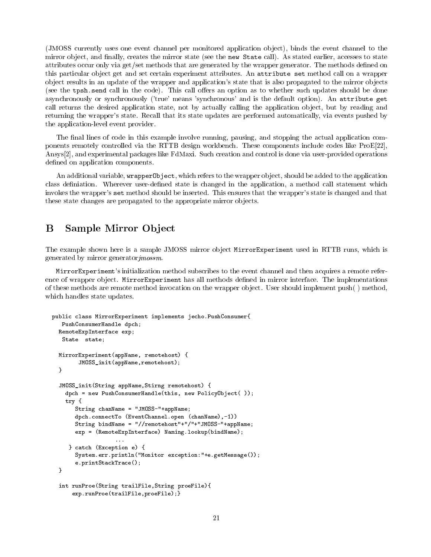(JMOSS currently uses one event channel per monitored application ob ject), binds the event channel to the mirror object, and finally, creates the mirror state (see the new State call). As stated earlier, accesses to state attributes occur only via get/set methods that are generated by the wrapper generator. The methods defined on this particular object get and set certain experiment attributes. An attribute set method call on a wrapper ob ject results in an update of the wrapper and application's state that is also propagated to the mirror ob jects (see the tpsh.send call in the code). This call offers an option as to whether such updates should be done asynchronously or synchronously ('true' means 'synchronous' and is the default option). An attribute get call returns the desired application state, not by actually calling the application ob ject, but by reading and returning the wrapper's state. Recall that its state updates are performed automatically, via events pushed by the application-level event provider.

The final lines of code in this example involve running, pausing, and stopping the actual application components remotely controlled via the RTTB design workbench. These components include codes like ProE[22], Ansys[2], and experimental packages like FdMaxi. Such creation and control is done via user-provided operations defined on application components.

An additional variable, wrapper0bject, which refers to the wrapper object, should be added to the application class definiation. Wherever user-defined state is changed in the application, a method call statement which invokes the wrapper's set method should be inserted. This ensures that the wrapper's state is changed and that these state changes are propagated to the appropriate mirror ob jects.

# **B** Sample Mirror Object

The example shown here is a sample JMOSS mirror object MirrorExperiment used in RTTB runs, which is generated by mirror generatorjmossm.

MirrorExperiment's initialization method subscribes to the event channel and then acquires a remote reference of wrapper object. MirrorExperiment has all methods defined in mirror interface. The implementations of these methods are remote method invocation on the wrapper ob ject. User should implement push( ) method, which handles state updates.

```
public class MirrorExperiment implements jecho.PushConsumer{
  PushConsumerHandle dpch;
  RemoteExpInterface exp;
  State state;
  MirrorExperiment(appName, remotehost) {
        JMOSS_init(appName,remotehost);
  }
  JMOSS_init(String appName,Stirng remotehost) {
   dpch = new PushConsumerHandle(this, new PolicyObject( ));
   try {
       String chanName = "JMOSS-"+appName;
      dpch.connectTo (EventChannel.open (chanName),-1))
       String bindName = "//remotehost"+"/"+"JMOSS-"+appName;
      exp = (RemoteExpInterface) Naming.lookup(bindName);
     } catch (Exception e) {
       System.err.println("Monitor exception:"+e.getMessage());
       e.printStackTrace();
  }
  int runProe(String trailFile,String proeFile){
      exp.runProe(trailFile,proeFile);}
```